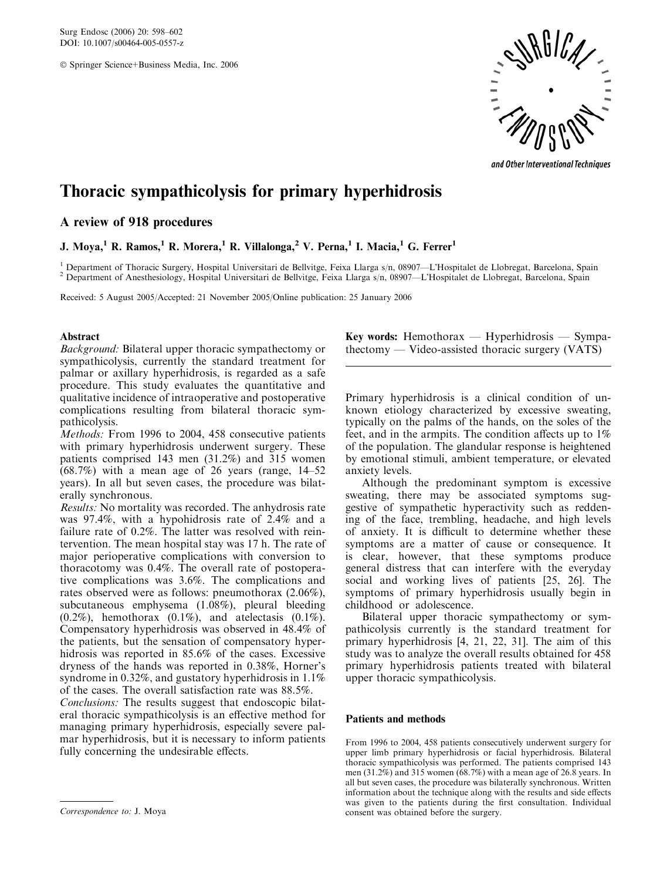Surg Endosc (2006) 20: 598–602 DOI: 10.1007/s00464-005-0557-z

Springer Science+Business Media, Inc. 2006



and Other Interventional Techniques

# Thoracic sympathicolysis for primary hyperhidrosis

# A review of 918 procedures

J. Moya,<sup>1</sup> R. Ramos,<sup>1</sup> R. Morera,<sup>1</sup> R. Villalonga,<sup>2</sup> V. Perna,<sup>1</sup> I. Macia,<sup>1</sup> G. Ferrer<sup>1</sup>

<sup>1</sup> Department of Thoracic Surgery, Hospital Universitari de Bellvitge, Feixa Llarga s/n, 08907—L'Hospitalet de Llobregat, Barcelona, Spain <sup>2</sup> Department of Anesthesiology, Hospital Universitari de Bellvitge, Feixa Llarga

Received: 5 August 2005/Accepted: 21 November 2005/Online publication: 25 January 2006

## Abstract

Background: Bilateral upper thoracic sympathectomy or sympathicolysis, currently the standard treatment for palmar or axillary hyperhidrosis, is regarded as a safe procedure. This study evaluates the quantitative and qualitative incidence of intraoperative and postoperative complications resulting from bilateral thoracic sympathicolysis.

Methods: From 1996 to 2004, 458 consecutive patients with primary hyperhidrosis underwent surgery. These patients comprised 143 men (31.2%) and 315 women (68.7%) with a mean age of 26 years (range, 14–52 years). In all but seven cases, the procedure was bilaterally synchronous.

Results: No mortality was recorded. The anhydrosis rate was 97.4%, with a hypohidrosis rate of 2.4% and a failure rate of 0.2%. The latter was resolved with reintervention. The mean hospital stay was 17 h. The rate of major perioperative complications with conversion to thoracotomy was 0.4%. The overall rate of postoperative complications was 3.6%. The complications and rates observed were as follows: pneumothorax (2.06%), subcutaneous emphysema (1.08%), pleural bleeding  $(0.2\%)$ , hemothorax  $(0.1\%)$ , and atelectasis  $(0.1\%)$ . Compensatory hyperhidrosis was observed in 48.4% of the patients, but the sensation of compensatory hyperhidrosis was reported in 85.6% of the cases. Excessive dryness of the hands was reported in 0.38%, Horner's syndrome in 0.32%, and gustatory hyperhidrosis in 1.1% of the cases. The overall satisfaction rate was 88.5%.

Conclusions: The results suggest that endoscopic bilateral thoracic sympathicolysis is an effective method for managing primary hyperhidrosis, especially severe palmar hyperhidrosis, but it is necessary to inform patients fully concerning the undesirable effects.

Key words: Hemothorax — Hyperhidrosis — Sympathectomy — Video-assisted thoracic surgery (VATS)

Primary hyperhidrosis is a clinical condition of unknown etiology characterized by excessive sweating, typically on the palms of the hands, on the soles of the feet, and in the armpits. The condition affects up to 1% of the population. The glandular response is heightened by emotional stimuli, ambient temperature, or elevated anxiety levels.

Although the predominant symptom is excessive sweating, there may be associated symptoms suggestive of sympathetic hyperactivity such as reddening of the face, trembling, headache, and high levels of anxiety. It is difficult to determine whether these symptoms are a matter of cause or consequence. It is clear, however, that these symptoms produce general distress that can interfere with the everyday social and working lives of patients [25, 26]. The symptoms of primary hyperhidrosis usually begin in childhood or adolescence.

Bilateral upper thoracic sympathectomy or sympathicolysis currently is the standard treatment for primary hyperhidrosis [4, 21, 22, 31]. The aim of this study was to analyze the overall results obtained for 458 primary hyperhidrosis patients treated with bilateral upper thoracic sympathicolysis.

## Patients and methods

From 1996 to 2004, 458 patients consecutively underwent surgery for upper limb primary hyperhidrosis or facial hyperhidrosis. Bilateral thoracic sympathicolysis was performed. The patients comprised 143 men (31.2%) and 315 women (68.7%) with a mean age of 26.8 years. In all but seven cases, the procedure was bilaterally synchronous. Written information about the technique along with the results and side effects was given to the patients during the first consultation. Individual Correspondence to: J. Moya consent was obtained before the surgery.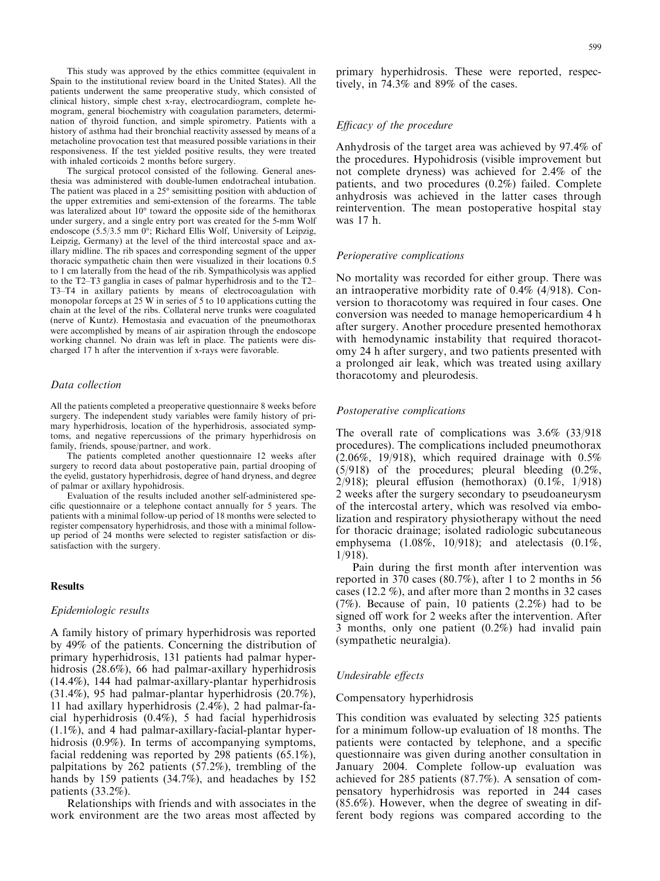This study was approved by the ethics committee (equivalent in Spain to the institutional review board in the United States). All the patients underwent the same preoperative study, which consisted of clinical history, simple chest x-ray, electrocardiogram, complete hemogram, general biochemistry with coagulation parameters, determination of thyroid function, and simple spirometry. Patients with a history of asthma had their bronchial reactivity assessed by means of a metacholine provocation test that measured possible variations in their responsiveness. If the test yielded positive results, they were treated with inhaled corticoids 2 months before surgery.

The surgical protocol consisted of the following. General anesthesia was administered with double-lumen endotracheal intubation. The patient was placed in a  $25^{\circ}$  semisitting position with abduction of the upper extremities and semi-extension of the forearms. The table was lateralized about  $10^{\circ}$  toward the opposite side of the hemithorax under surgery, and a single entry port was created for the 5-mm Wolf endoscope (5.5/3.5 mm 0°; Richard Ellis Wolf, University of Leipzig, Leipzig, Germany) at the level of the third intercostal space and axillary midline. The rib spaces and corresponding segment of the upper thoracic sympathetic chain then were visualized in their locations 0.5 to 1 cm laterally from the head of the rib. Sympathicolysis was applied to the T2–T3 ganglia in cases of palmar hyperhidrosis and to the T2– T3–T4 in axillary patients by means of electrocoagulation with monopolar forceps at 25 W in series of 5 to 10 applications cutting the chain at the level of the ribs. Collateral nerve trunks were coagulated (nerve of Kuntz). Hemostasia and evacuation of the pneumothorax were accomplished by means of air aspiration through the endoscope working channel. No drain was left in place. The patients were discharged 17 h after the intervention if x-rays were favorable.

## Data collection

All the patients completed a preoperative questionnaire 8 weeks before surgery. The independent study variables were family history of primary hyperhidrosis, location of the hyperhidrosis, associated symptoms, and negative repercussions of the primary hyperhidrosis on family, friends, spouse/partner, and work.

The patients completed another questionnaire 12 weeks after surgery to record data about postoperative pain, partial drooping of the eyelid, gustatory hyperhidrosis, degree of hand dryness, and degree of palmar or axillary hypohidrosis.

Evaluation of the results included another self-administered specific questionnaire or a telephone contact annually for 5 years. The patients with a minimal follow-up period of 18 months were selected to register compensatory hyperhidrosis, and those with a minimal followup period of 24 months were selected to register satisfaction or dissatisfaction with the surgery.

#### Results

## Epidemiologic results

A family history of primary hyperhidrosis was reported by 49% of the patients. Concerning the distribution of primary hyperhidrosis, 131 patients had palmar hyperhidrosis (28.6%), 66 had palmar-axillary hyperhidrosis (14.4%), 144 had palmar-axillary-plantar hyperhidrosis (31.4%), 95 had palmar-plantar hyperhidrosis (20.7%), 11 had axillary hyperhidrosis (2.4%), 2 had palmar-facial hyperhidrosis (0.4%), 5 had facial hyperhidrosis (1.1%), and 4 had palmar-axillary-facial-plantar hyperhidrosis (0.9%). In terms of accompanying symptoms, facial reddening was reported by 298 patients (65.1%), palpitations by 262 patients (57.2%), trembling of the hands by 159 patients (34.7%), and headaches by 152 patients (33.2%).

Relationships with friends and with associates in the work environment are the two areas most affected by primary hyperhidrosis. These were reported, respectively, in 74.3% and 89% of the cases.

## Efficacy of the procedure

Anhydrosis of the target area was achieved by 97.4% of the procedures. Hypohidrosis (visible improvement but not complete dryness) was achieved for 2.4% of the patients, and two procedures (0.2%) failed. Complete anhydrosis was achieved in the latter cases through reintervention. The mean postoperative hospital stay was 17 h.

#### Perioperative complications

No mortality was recorded for either group. There was an intraoperative morbidity rate of 0.4% (4/918). Conversion to thoracotomy was required in four cases. One conversion was needed to manage hemopericardium 4 h after surgery. Another procedure presented hemothorax with hemodynamic instability that required thoracotomy 24 h after surgery, and two patients presented with a prolonged air leak, which was treated using axillary thoracotomy and pleurodesis.

#### Postoperative complications

The overall rate of complications was 3.6% (33/918 procedures). The complications included pneumothorax  $(2.06\%, 19/918)$ , which required drainage with  $0.5\%$ (5/918) of the procedures; pleural bleeding (0.2%, 2/918); pleural effusion (hemothorax) (0.1%, 1/918) 2 weeks after the surgery secondary to pseudoaneurysm of the intercostal artery, which was resolved via embolization and respiratory physiotherapy without the need for thoracic drainage; isolated radiologic subcutaneous emphysema (1.08%, 10/918); and atelectasis (0.1%, 1/918).

Pain during the first month after intervention was reported in 370 cases (80.7%), after 1 to 2 months in 56 cases (12.2 %), and after more than 2 months in 32 cases  $(7%)$ . Because of pain, 10 patients  $(2.2%)$  had to be signed off work for 2 weeks after the intervention. After 3 months, only one patient (0.2%) had invalid pain (sympathetic neuralgia).

#### Undesirable effects

#### Compensatory hyperhidrosis

This condition was evaluated by selecting 325 patients for a minimum follow-up evaluation of 18 months. The patients were contacted by telephone, and a specific questionnaire was given during another consultation in January 2004. Complete follow-up evaluation was achieved for 285 patients (87.7%). A sensation of compensatory hyperhidrosis was reported in 244 cases (85.6%). However, when the degree of sweating in different body regions was compared according to the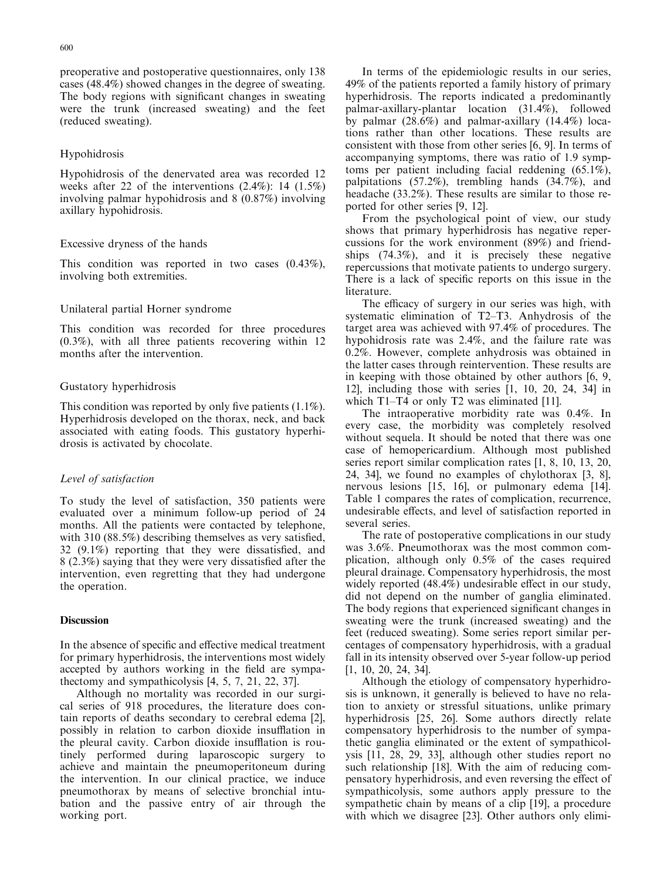preoperative and postoperative questionnaires, only 138 cases (48.4%) showed changes in the degree of sweating. The body regions with significant changes in sweating were the trunk (increased sweating) and the feet (reduced sweating).

## Hypohidrosis

Hypohidrosis of the denervated area was recorded 12 weeks after 22 of the interventions (2.4%): 14 (1.5%) involving palmar hypohidrosis and 8 (0.87%) involving axillary hypohidrosis.

## Excessive dryness of the hands

This condition was reported in two cases (0.43%), involving both extremities.

#### Unilateral partial Horner syndrome

This condition was recorded for three procedures (0.3%), with all three patients recovering within 12 months after the intervention.

#### Gustatory hyperhidrosis

This condition was reported by only five patients (1.1%). Hyperhidrosis developed on the thorax, neck, and back associated with eating foods. This gustatory hyperhidrosis is activated by chocolate.

## Level of satisfaction

To study the level of satisfaction, 350 patients were evaluated over a minimum follow-up period of 24 months. All the patients were contacted by telephone, with 310 (88.5%) describing themselves as very satisfied, 32 (9.1%) reporting that they were dissatisfied, and 8 (2.3%) saying that they were very dissatisfied after the intervention, even regretting that they had undergone the operation.

## **Discussion**

In the absence of specific and effective medical treatment for primary hyperhidrosis, the interventions most widely accepted by authors working in the field are sympathectomy and sympathicolysis [4, 5, 7, 21, 22, 37].

Although no mortality was recorded in our surgical series of 918 procedures, the literature does contain reports of deaths secondary to cerebral edema [2], possibly in relation to carbon dioxide insufflation in the pleural cavity. Carbon dioxide insufflation is routinely performed during laparoscopic surgery to achieve and maintain the pneumoperitoneum during the intervention. In our clinical practice, we induce pneumothorax by means of selective bronchial intubation and the passive entry of air through the working port.

In terms of the epidemiologic results in our series, 49% of the patients reported a family history of primary hyperhidrosis. The reports indicated a predominantly palmar-axillary-plantar location (31.4%), followed by palmar (28.6%) and palmar-axillary (14.4%) locations rather than other locations. These results are consistent with those from other series [6, 9]. In terms of accompanying symptoms, there was ratio of 1.9 symptoms per patient including facial reddening (65.1%), palpitations (57.2%), trembling hands (34.7%), and headache (33.2%). These results are similar to those reported for other series [9, 12].

From the psychological point of view, our study shows that primary hyperhidrosis has negative repercussions for the work environment (89%) and friendships (74.3%), and it is precisely these negative repercussions that motivate patients to undergo surgery. There is a lack of specific reports on this issue in the literature.

The efficacy of surgery in our series was high, with systematic elimination of T2–T3. Anhydrosis of the target area was achieved with 97.4% of procedures. The hypohidrosis rate was 2.4%, and the failure rate was 0.2%. However, complete anhydrosis was obtained in the latter cases through reintervention. These results are in keeping with those obtained by other authors [6, 9, 12], including those with series [1, 10, 20, 24, 34] in which T1–T4 or only T2 was eliminated [11].

The intraoperative morbidity rate was 0.4%. In every case, the morbidity was completely resolved without sequela. It should be noted that there was one case of hemopericardium. Although most published series report similar complication rates [1, 8, 10, 13, 20, 24, 34], we found no examples of chylothorax [3, 8], nervous lesions [15, 16], or pulmonary edema [14]. Table 1 compares the rates of complication, recurrence, undesirable effects, and level of satisfaction reported in several series.

The rate of postoperative complications in our study was 3.6%. Pneumothorax was the most common complication, although only 0.5% of the cases required pleural drainage. Compensatory hyperhidrosis, the most widely reported (48.4%) undesirable effect in our study, did not depend on the number of ganglia eliminated. The body regions that experienced significant changes in sweating were the trunk (increased sweating) and the feet (reduced sweating). Some series report similar percentages of compensatory hyperhidrosis, with a gradual fall in its intensity observed over 5-year follow-up period [1, 10, 20, 24, 34].

Although the etiology of compensatory hyperhidrosis is unknown, it generally is believed to have no relation to anxiety or stressful situations, unlike primary hyperhidrosis [25, 26]. Some authors directly relate compensatory hyperhidrosis to the number of sympathetic ganglia eliminated or the extent of sympathicolysis [11, 28, 29, 33], although other studies report no such relationship [18]. With the aim of reducing compensatory hyperhidrosis, and even reversing the effect of sympathicolysis, some authors apply pressure to the sympathetic chain by means of a clip [19], a procedure with which we disagree [23]. Other authors only elimi-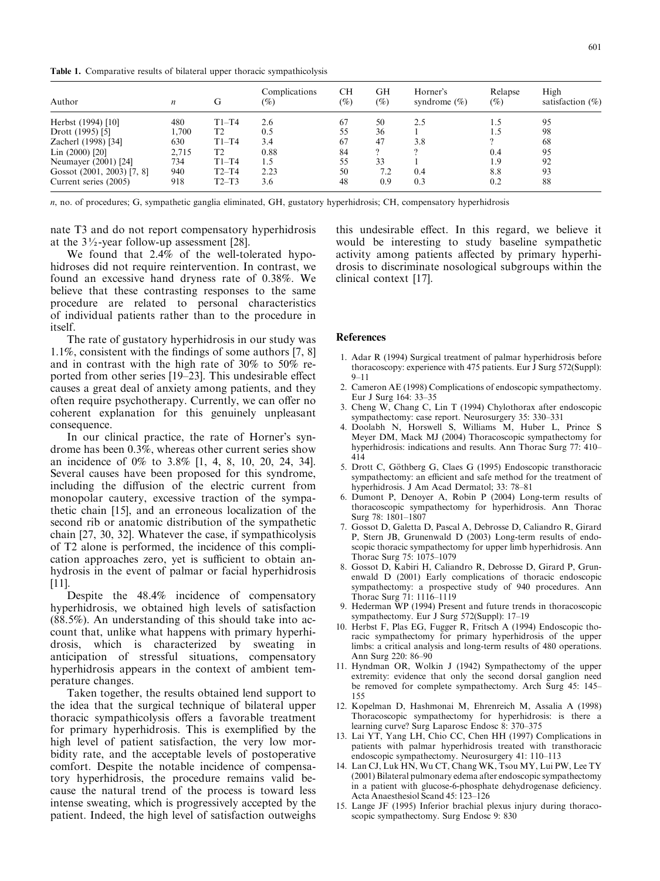Table 1. Comparative results of bilateral upper thoracic sympathicolysis

| Author                     | n     | G              | Complications<br>$(\%)$ | CН<br>(%) | GH<br>$\left( \% \right)$ | Horner's<br>syndrome $(\%)$ | Relapse<br>$(\%)$ | High<br>satisfaction $(\%)$ |
|----------------------------|-------|----------------|-------------------------|-----------|---------------------------|-----------------------------|-------------------|-----------------------------|
| Herbst (1994) [10]         | 480   | $T1-T4$        | 2.6                     | 67        | 50                        | 2.5                         | 1.5               | 95                          |
| Drott (1995) [5]           | .700  | T <sub>2</sub> | 0.5                     | 55        | 36                        |                             | 1.5               | 98                          |
| Zacherl (1998) [34]        | 630   | $T1-T4$        | 3.4                     | 67        | 47                        | 3.8                         |                   | 68                          |
| Lin (2000) [20]            | 2,715 | T2             | 0.88                    | 84        | 2                         |                             | 0.4               | 95                          |
| Neumayer (2001) [24]       | 734   | $T1-T4$        | 1.5                     | 55        | 33                        |                             | 1.9               | 92                          |
| Gossot (2001, 2003) [7, 8] | 940   | $T2-T4$        | 2.23                    | 50        | 7.2                       | 0.4                         | 8.8               | 93                          |
| Current series (2005)      | 918   | $T2-T3$        | 3.6                     | 48        | 0.9                       | 0.3                         | 0.2               | 88                          |

n, no. of procedures; G, sympathetic ganglia eliminated, GH, gustatory hyperhidrosis; CH, compensatory hyperhidrosis

nate T3 and do not report compensatory hyperhidrosis at the  $3\frac{1}{2}$ -year follow-up assessment [28].

We found that 2.4% of the well-tolerated hypohidroses did not require reintervention. In contrast, we found an excessive hand dryness rate of 0.38%. We believe that these contrasting responses to the same procedure are related to personal characteristics of individual patients rather than to the procedure in itself.

The rate of gustatory hyperhidrosis in our study was 1.1%, consistent with the findings of some authors [7, 8] and in contrast with the high rate of 30% to 50% reported from other series [19–23]. This undesirable effect causes a great deal of anxiety among patients, and they often require psychotherapy. Currently, we can offer no coherent explanation for this genuinely unpleasant consequence.

In our clinical practice, the rate of Horner's syndrome has been 0.3%, whereas other current series show an incidence of 0% to 3.8% [1, 4, 8, 10, 20, 24, 34]. Several causes have been proposed for this syndrome, including the diffusion of the electric current from monopolar cautery, excessive traction of the sympathetic chain [15], and an erroneous localization of the second rib or anatomic distribution of the sympathetic chain [27, 30, 32]. Whatever the case, if sympathicolysis of T2 alone is performed, the incidence of this complication approaches zero, yet is sufficient to obtain anhydrosis in the event of palmar or facial hyperhidrosis [11].

Despite the 48.4% incidence of compensatory hyperhidrosis, we obtained high levels of satisfaction (88.5%). An understanding of this should take into account that, unlike what happens with primary hyperhidrosis, which is characterized by sweating in anticipation of stressful situations, compensatory hyperhidrosis appears in the context of ambient temperature changes.

Taken together, the results obtained lend support to the idea that the surgical technique of bilateral upper thoracic sympathicolysis offers a favorable treatment for primary hyperhidrosis. This is exemplified by the high level of patient satisfaction, the very low morbidity rate, and the acceptable levels of postoperative comfort. Despite the notable incidence of compensatory hyperhidrosis, the procedure remains valid because the natural trend of the process is toward less intense sweating, which is progressively accepted by the patient. Indeed, the high level of satisfaction outweighs

this undesirable effect. In this regard, we believe it would be interesting to study baseline sympathetic activity among patients affected by primary hyperhidrosis to discriminate nosological subgroups within the clinical context [17].

## References

- 1. Adar R (1994) Surgical treatment of palmar hyperhidrosis before thoracoscopy: experience with 475 patients. Eur J Surg 572(Suppl): 9–11
- 2. Cameron AE (1998) Complications of endoscopic sympathectomy. Eur J Surg 164: 33–35
- 3. Cheng W, Chang C, Lin T (1994) Chylothorax after endoscopic sympathectomy: case report. Neurosurgery 35: 330–331
- 4. Doolabh N, Horswell S, Williams M, Huber L, Prince S Meyer DM, Mack MJ (2004) Thoracoscopic sympathectomy for hyperhidrosis: indications and results. Ann Thorac Surg 77: 410– 414
- 5. Drott C, Göthberg G, Claes G (1995) Endoscopic transthoracic sympathectomy: an efficient and safe method for the treatment of hyperhidrosis. J Am Acad Dermatol; 33: 78–81
- 6. Dumont P, Denoyer A, Robin P (2004) Long-term results of thoracoscopic sympathectomy for hyperhidrosis. Ann Thorac Surg 78: 1801–1807
- 7. Gossot D, Galetta D, Pascal A, Debrosse D, Caliandro R, Girard P, Stern JB, Grunenwald D (2003) Long-term results of endoscopic thoracic sympathectomy for upper limb hyperhidrosis. Ann Thorac Surg 75: 1075–1079
- 8. Gossot D, Kabiri H, Caliandro R, Debrosse D, Girard P, Grunenwald D (2001) Early complications of thoracic endoscopic sympathectomy: a prospective study of 940 procedures. Ann Thorac Surg 71: 1116–1119
- 9. Hederman WP (1994) Present and future trends in thoracoscopic sympathectomy. Eur J Surg 572(Suppl): 17–19
- 10. Herbst F, Plas EG, Fugger R, Fritsch A (1994) Endoscopic thoracic sympathectomy for primary hyperhidrosis of the upper limbs: a critical analysis and long-term results of 480 operations. Ann Surg 220: 86–90
- 11. Hyndman OR, Wolkin J (1942) Sympathectomy of the upper extremity: evidence that only the second dorsal ganglion need be removed for complete sympathectomy. Arch Surg 45: 145– 155
- 12. Kopelman D, Hashmonai M, Ehrenreich M, Assalia A (1998) Thoracoscopic sympathectomy for hyperhidrosis: is there a learning curve? Surg Laparosc Endosc 8: 370–375
- 13. Lai YT, Yang LH, Chio CC, Chen HH (1997) Complications in patients with palmar hyperhidrosis treated with transthoracic endoscopic sympathectomy. Neurosurgery 41: 110–113
- 14. Lan CJ, Luk HN, Wu CT, Chang WK, Tsou MY, Lui PW, Lee TY (2001) Bilateral pulmonary edema after endoscopic sympathectomy in a patient with glucose-6-phosphate dehydrogenase deficiency. Acta Anaesthesiol Scand 45: 123–126
- 15. Lange JF (1995) Inferior brachial plexus injury during thoracoscopic sympathectomy. Surg Endosc 9: 830